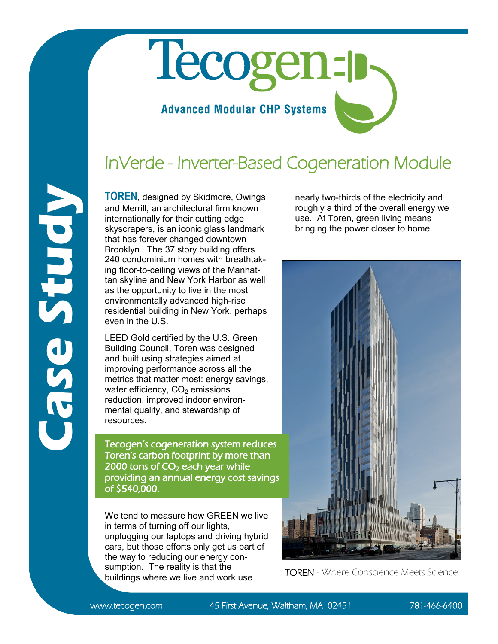## Tecogen-p **Advanced Modular CHP Systems**

## InVerde - Inverter-Based Cogeneration Module

**TOREN**, designed by Skidmore, Owings and Merrill, an architectural firm known internationally for their cutting edge skyscrapers, is an iconic glass landmark that has forever changed downtown Brooklyn. The 37 story building offers 240 condominium homes with breathtaking floor-to-ceiling views of the Manhattan skyline and New York Harbor as well as the opportunity to live in the most environmentally advanced high-rise residential building in New York, perhaps even in the U.S.

LEED Gold certified by the U.S. Green Building Council, Toren was designed and built using strategies aimed at improving performance across all the metrics that matter most: energy savings, water efficiency,  $CO<sub>2</sub>$  emissions reduction, improved indoor environmental quality, and stewardship of resources.

Tecogen's cogeneration system reduces Toren's carbon footprint by more than 2000 tons of  $CO<sub>2</sub>$  each year while providing an annual energy cost savings of \$540,000.

We tend to measure how GREEN we live in terms of turning off our lights, unplugging our laptops and driving hybrid cars, but those efforts only get us part of the way to reducing our energy consumption. The reality is that the buildings where we live and work use

nearly two-thirds of the electricity and roughly a third of the overall energy we use. At Toren, green living means bringing the power closer to home.



**Case Study**

www.tecogen.com 45 First Avenue, Waltham, MA 02451 781-466-6400